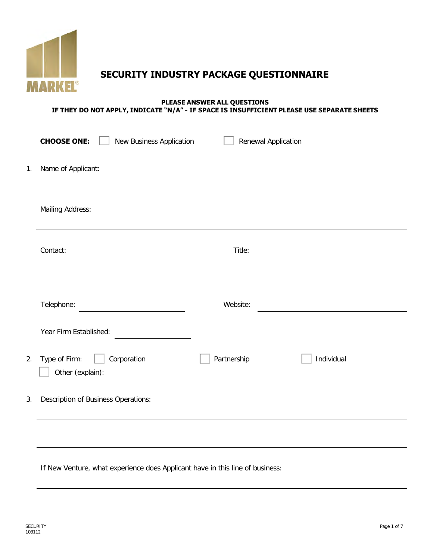

**SECURITY INDUSTRY PACKAGE QUESTIONNAIRE**

#### **PLEASE ANSWER ALL QUESTIONS IF THEY DO NOT APPLY, INDICATE "N/A" - IF SPACE IS INSUFFICIENT PLEASE USE SEPARATE SHEETS**

|    | <b>CHOOSE ONE:</b><br>New Business Application   |             | Renewal Application                                |
|----|--------------------------------------------------|-------------|----------------------------------------------------|
| 1. | Name of Applicant:                               |             |                                                    |
|    | <b>Mailing Address:</b>                          |             |                                                    |
|    | Contact:                                         | Title:      | <u> 1989 - John Stein, Amerikaansk politiker (</u> |
|    |                                                  |             |                                                    |
|    | Telephone:                                       | Website:    |                                                    |
|    | Year Firm Established:                           |             |                                                    |
| 2. | Type of Firm:<br>Corporation<br>Other (explain): | Partnership | Individual                                         |
| 3. | <b>Description of Business Operations:</b>       |             |                                                    |
|    |                                                  |             |                                                    |
|    |                                                  |             |                                                    |

If New Venture, what experience does Applicant have in this line of business: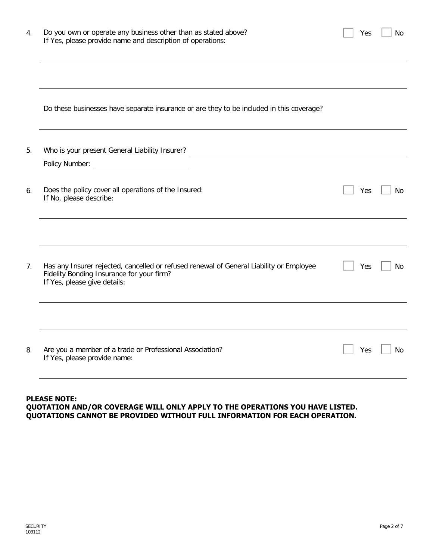| 4. | Do you own or operate any business other than as stated above?<br>If Yes, please provide name and description of operations: | Yes | No        |
|----|------------------------------------------------------------------------------------------------------------------------------|-----|-----------|
|    |                                                                                                                              |     |           |
|    | Do these businesses have separate insurance or are they to be included in this coverage?                                     |     |           |
| 5. | Who is your present General Liability Insurer?<br>Policy Number:                                                             |     |           |
| 6. | Does the policy cover all operations of the Insured:<br>If No, please describe:                                              | Yes | No        |
| 7. | Has any Insurer rejected, cancelled or refused renewal of General Liability or Employee                                      | Yes | No        |
|    | Fidelity Bonding Insurance for your firm?<br>If Yes, please give details:                                                    |     |           |
| 8. | Are you a member of a trade or Professional Association?<br>If Yes, please provide name:                                     | Yes | <b>No</b> |

#### **PLEASE NOTE: QUOTATION AND/OR COVERAGE WILL ONLY APPLY TO THE OPERATIONS YOU HAVE LISTED. QUOTATIONS CANNOT BE PROVIDED WITHOUT FULL INFORMATION FOR EACH OPERATION.**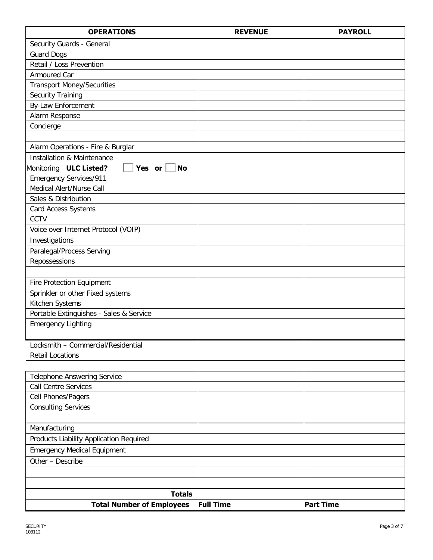| <b>OPERATIONS</b>                                             | <b>REVENUE</b>   | <b>PAYROLL</b>   |
|---------------------------------------------------------------|------------------|------------------|
| Security Guards - General                                     |                  |                  |
| <b>Guard Dogs</b>                                             |                  |                  |
| Retail / Loss Prevention                                      |                  |                  |
| Armoured Car                                                  |                  |                  |
| <b>Transport Money/Securities</b>                             |                  |                  |
| Security Training                                             |                  |                  |
| By-Law Enforcement                                            |                  |                  |
| Alarm Response                                                |                  |                  |
| Concierge                                                     |                  |                  |
|                                                               |                  |                  |
| Alarm Operations - Fire & Burglar                             |                  |                  |
| <b>Installation &amp; Maintenance</b>                         |                  |                  |
| Monitoring ULC Listed?<br>Yes or<br><b>No</b>                 |                  |                  |
| <b>Emergency Services/911</b>                                 |                  |                  |
| Medical Alert/Nurse Call                                      |                  |                  |
| Sales & Distribution                                          |                  |                  |
| Card Access Systems                                           |                  |                  |
| CCTV                                                          |                  |                  |
| Voice over Internet Protocol (VOIP)                           |                  |                  |
| Investigations                                                |                  |                  |
| Paralegal/Process Serving                                     |                  |                  |
| Repossessions                                                 |                  |                  |
|                                                               |                  |                  |
| <b>Fire Protection Equipment</b>                              |                  |                  |
| Sprinkler or other Fixed systems                              |                  |                  |
| Kitchen Systems                                               |                  |                  |
| Portable Extinguishes - Sales & Service                       |                  |                  |
| <b>Emergency Lighting</b>                                     |                  |                  |
|                                                               |                  |                  |
| Locksmith - Commercial/Residential<br><b>Retail Locations</b> |                  |                  |
|                                                               |                  |                  |
| <b>Telephone Answering Service</b>                            |                  |                  |
| <b>Call Centre Services</b>                                   |                  |                  |
| Cell Phones/Pagers                                            |                  |                  |
| <b>Consulting Services</b>                                    |                  |                  |
|                                                               |                  |                  |
| Manufacturing                                                 |                  |                  |
| Products Liability Application Required                       |                  |                  |
| <b>Emergency Medical Equipment</b>                            |                  |                  |
| Other - Describe                                              |                  |                  |
|                                                               |                  |                  |
|                                                               |                  |                  |
| <b>Totals</b>                                                 |                  |                  |
| <b>Total Number of Employees</b>                              | <b>Full Time</b> | <b>Part Time</b> |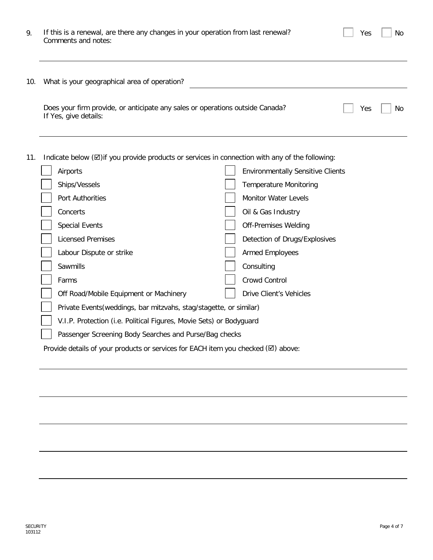| 9.  | If this is a renewal, are there any changes in your operation from last renewal?<br>Comments and notes: | Yes | No |
|-----|---------------------------------------------------------------------------------------------------------|-----|----|
| 10. | What is your geographical area of operation?                                                            |     |    |
|     | Does your firm provide, or anticipate any sales or operations outside Canada?<br>If Yes, give details:  | Yes | No |

11. Indicate below ( $\boxtimes$ )if you provide products or services in connection with any of the following:

| Airports                                                                                    | <b>Environmentally Sensitive Clients</b> |
|---------------------------------------------------------------------------------------------|------------------------------------------|
| Ships/Vessels                                                                               | <b>Temperature Monitoring</b>            |
| Port Authorities                                                                            | <b>Monitor Water Levels</b>              |
| Concerts                                                                                    | Oil & Gas Industry                       |
| <b>Special Events</b>                                                                       | <b>Off-Premises Welding</b>              |
| <b>Licensed Premises</b>                                                                    | Detection of Drugs/Explosives            |
| Labour Dispute or strike                                                                    | <b>Armed Employees</b>                   |
| Sawmills                                                                                    | Consulting                               |
| Farms                                                                                       | Crowd Control                            |
| Off Road/Mobile Equipment or Machinery                                                      | Drive Client's Vehicles                  |
| Private Events (weddings, bar mitzvahs, stag/stagette, or similar)                          |                                          |
| V.I.P. Protection (i.e. Political Figures, Movie Sets) or Bodyguard                         |                                          |
| Passenger Screening Body Searches and Purse/Bag checks                                      |                                          |
| Provide details of your products or services for EACH item you checked $(\boxtimes)$ above: |                                          |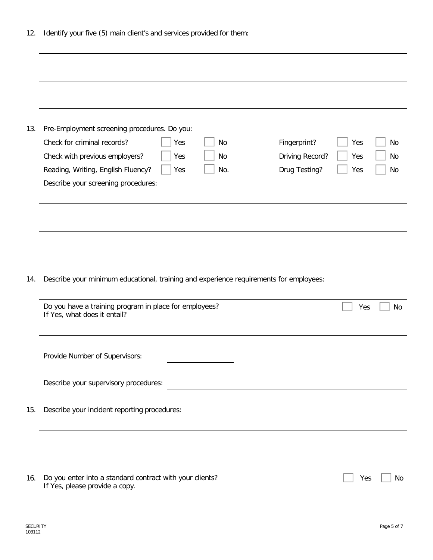| 12. |  | Identify your five (5) main client's and services provided for them: |  |  |  |
|-----|--|----------------------------------------------------------------------|--|--|--|
|     |  |                                                                      |  |  |  |

| 13. | Pre-Employment screening procedures. Do you:<br>Check for criminal records?<br>Fingerprint?<br>Yes<br>No<br>Driving Record?<br>Check with previous employers?<br>Yes<br>No<br>Drug Testing?<br>Reading, Writing, English Fluency?<br>No.<br>Yes<br>Describe your screening procedures: | Yes<br>Yes<br>Yes | No<br>No<br>No |
|-----|----------------------------------------------------------------------------------------------------------------------------------------------------------------------------------------------------------------------------------------------------------------------------------------|-------------------|----------------|
|     |                                                                                                                                                                                                                                                                                        |                   |                |
| 14. | Describe your minimum educational, training and experience requirements for employees:                                                                                                                                                                                                 |                   |                |
|     | Do you have a training program in place for employees?<br>If Yes, what does it entail?                                                                                                                                                                                                 | Yes               | <b>No</b>      |
|     | Provide Number of Supervisors:                                                                                                                                                                                                                                                         |                   |                |
|     | Describe your supervisory procedures:                                                                                                                                                                                                                                                  |                   |                |
| 15. | Describe your incident reporting procedures:                                                                                                                                                                                                                                           |                   |                |
|     |                                                                                                                                                                                                                                                                                        |                   |                |
| 16. | Do you enter into a standard contract with your clients?<br>If Yes, please provide a copy.                                                                                                                                                                                             | Yes               | No             |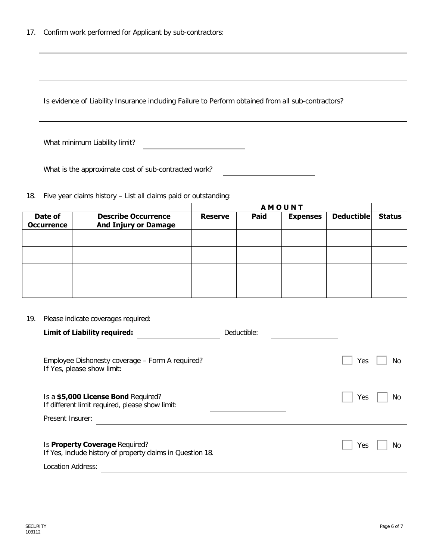Is evidence of Liability Insurance including Failure to Perform obtained from all sub-contractors?

What minimum Liability limit?

What is the approximate cost of sub-contracted work?

18. Five year claims history – List all claims paid or outstanding:

|                              |                                                           | <b>AMOUNT</b>  |      |                 |                   |               |  |
|------------------------------|-----------------------------------------------------------|----------------|------|-----------------|-------------------|---------------|--|
| Date of<br><b>Occurrence</b> | <b>Describe Occurrence</b><br><b>And Injury or Damage</b> | <b>Reserve</b> | Paid | <b>Expenses</b> | <b>Deductible</b> | <b>Status</b> |  |
|                              |                                                           |                |      |                 |                   |               |  |
|                              |                                                           |                |      |                 |                   |               |  |
|                              |                                                           |                |      |                 |                   |               |  |
|                              |                                                           |                |      |                 |                   |               |  |

## 19. Please indicate coverages required:

| <b>Limit of Liability required:</b>                                                                               | Deductible: |
|-------------------------------------------------------------------------------------------------------------------|-------------|
| Employee Dishonesty coverage - Form A required?<br>If Yes, please show limit:                                     | No<br>Yes   |
| Is a \$5,000 License Bond Required?<br>If different limit required, please show limit:<br>Present Insurer:        | No<br>Yes   |
| Is Property Coverage Required?<br>If Yes, include history of property claims in Question 18.<br>Location Address: | No<br>Yes   |